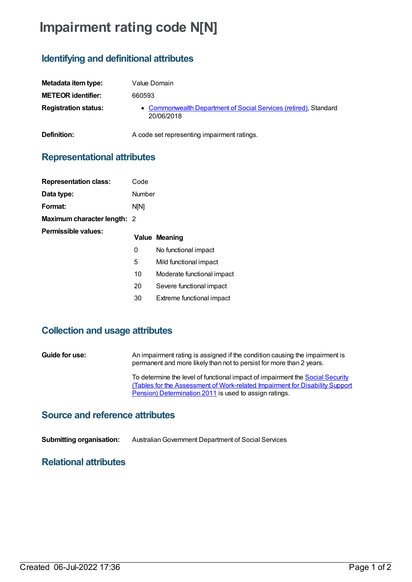# **Impairment rating code N[N]**

**Definition:** A code set representing impairment ratings.

## **Identifying and definitional attributes**

| Metadata item type:         | Value Domain                                                                   |
|-----------------------------|--------------------------------------------------------------------------------|
| <b>METEOR identifier:</b>   | 660593                                                                         |
| <b>Registration status:</b> | • Commonwealth Department of Social Services (retired), Standard<br>20/06/2018 |

### **Representational attributes**

| <b>Representation class:</b> | Code   |                            |
|------------------------------|--------|----------------------------|
| Data type:                   | Number |                            |
| Format:                      | N[N]   |                            |
| Maximum character length: 2  |        |                            |
| Permissible values:          |        | <b>Value Meaning</b>       |
|                              | 0      | No functional impact       |
|                              | 5      | Mild functional impact     |
|                              | 10     | Moderate functional impact |
|                              | 20     | Severe functional impact   |
|                              | 30     | Extreme functional impact  |

#### **Collection and usage attributes**

**Guide for use:** An impairment rating is assigned if the condition causing the impairment is permanent and more likely than not to persist for more than 2 years. To determine the level of functional impact of impairment the **Social Security** (Tables for the Assessment of [Work-related](https://www.legislation.gov.au/Series/F2011L02716) Impairment for Disability Support

Pension) Determination 2011 is used to assign ratings.

#### **Source and reference attributes**

**Submitting organisation:** AustralianGovernment Department of Social Services

#### **Relational attributes**